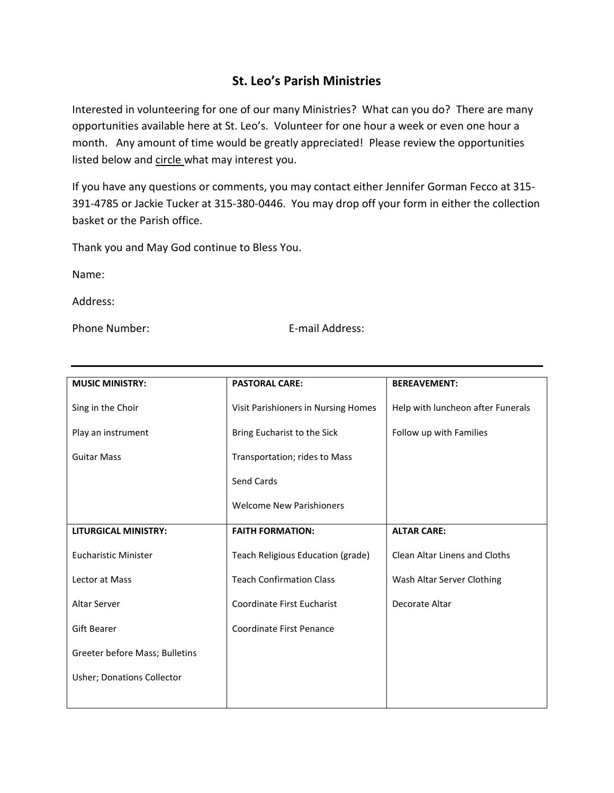## **St. Leo's Parish Ministries**

Interested in volunteering for one of our many Ministries? What can you do? There are many opportunities available here at St. Leo's. Volunteer for one hour a week or even one hour a month. Any amount of time would be greatly appreciated! Please review the opportunities listed below and circle what may interest you.

If you have any questions or comments, you may contact either Jennifer Gorman Fecco at 315- 391-4785 or Jackie Tucker at 315-380-0446. You may drop off your form in either the collection basket or the Parish office.

Thank you and May God continue to Bless You.

Name:

Address:

Phone Number: E-mail Address:

| <b>MUSIC MINISTRY:</b>         | <b>PASTORAL CARE:</b>               | <b>BEREAVEMENT:</b>               |
|--------------------------------|-------------------------------------|-----------------------------------|
| Sing in the Choir              | Visit Parishioners in Nursing Homes | Help with luncheon after Funerals |
| Play an instrument             | Bring Eucharist to the Sick         | Follow up with Families           |
| <b>Guitar Mass</b>             | Transportation; rides to Mass       |                                   |
|                                | Send Cards                          |                                   |
|                                | <b>Welcome New Parishioners</b>     |                                   |
| <b>LITURGICAL MINISTRY:</b>    | <b>FAITH FORMATION:</b>             | <b>ALTAR CARE:</b>                |
| <b>Eucharistic Minister</b>    | Teach Religious Education (grade)   | Clean Altar Linens and Cloths     |
| Lector at Mass                 | <b>Teach Confirmation Class</b>     | Wash Altar Server Clothing        |
| <b>Altar Server</b>            | Coordinate First Eucharist          | Decorate Altar                    |
| <b>Gift Bearer</b>             | Coordinate First Penance            |                                   |
| Greeter before Mass; Bulletins |                                     |                                   |
| Usher; Donations Collector     |                                     |                                   |
|                                |                                     |                                   |